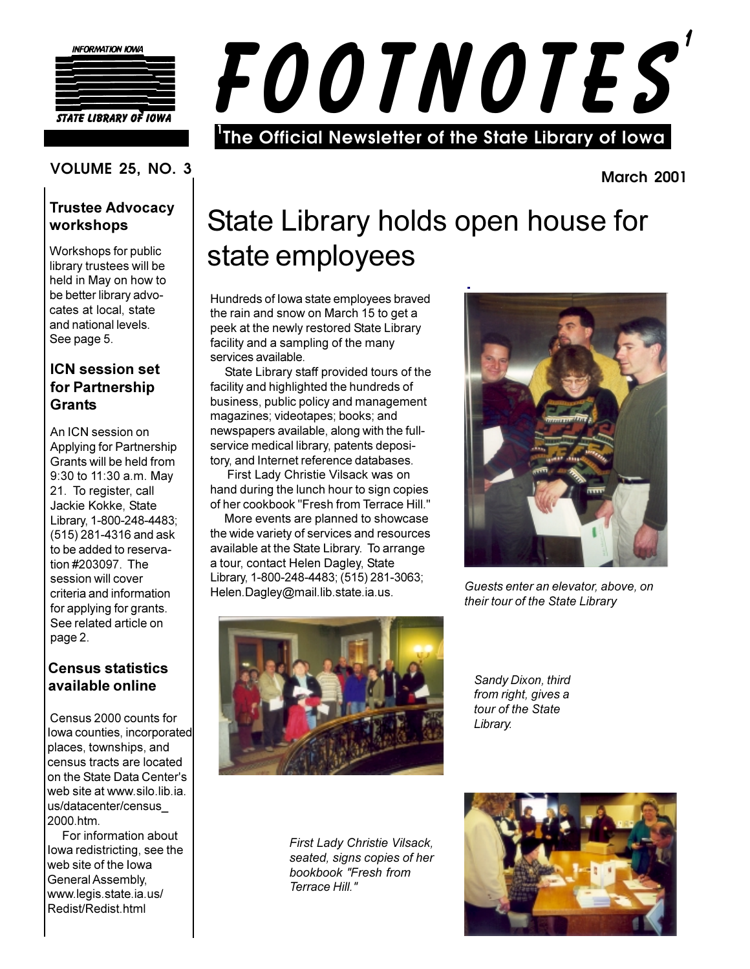

**STATE LIBRARY OF IOWA** 

# FOOTNOTES The Official Newsletter of the State Library of lowa

**VOLUME 25, NO. 3** 

#### **Trustee Advocacy** workshops

Workshops for public library trustees will be held in May on how to be better library advocates at local, state and national levels. See page 5.

#### **ICN session set** for Partnership **Grants**

An ICN session on Applying for Partnership Grants will be held from 9:30 to 11:30 a.m. May 21. To register, call Jackie Kokke, State Library, 1-800-248-4483; (515) 281-4316 and ask to be added to reservation #203097. The session will cover criteria and information for applying for grants. See related article on page 2.

#### **Census statistics** available online

Census 2000 counts for lowa counties, incorporated places, townships, and census tracts are located on the State Data Center's web site at www.silo.lib.ia. us/datacenter/census 2000.htm.

For information about lowa redistricting, see the web site of the lowa General Assembly, www.legis.state.ia.us/ Redist/Redist.html

## State Library holds open house for state employees

Hundreds of lowa state employees braved the rain and snow on March 15 to get a peek at the newly restored State Library facility and a sampling of the many services available.

State Library staff provided tours of the facility and highlighted the hundreds of business, public policy and management magazines; videotapes; books; and newspapers available, along with the fullservice medical library, patents depository, and Internet reference databases.

First Lady Christie Vilsack was on hand during the lunch hour to sign copies of her cookbook "Fresh from Terrace Hill."

More events are planned to showcase the wide variety of services and resources available at the State Library. To arrange a tour, contact Helen Dagley, State Library, 1-800-248-4483; (515) 281-3063; Helen.Dagley@mail.lib.state.ia.us.



**March 2001** 

Guests enter an elevator, above, on their tour of the State Library



Sandy Dixon, third from right, gives a tour of the State Library.

First Lady Christie Vilsack. seated, signs copies of her bookbook "Fresh from Terrace Hill "

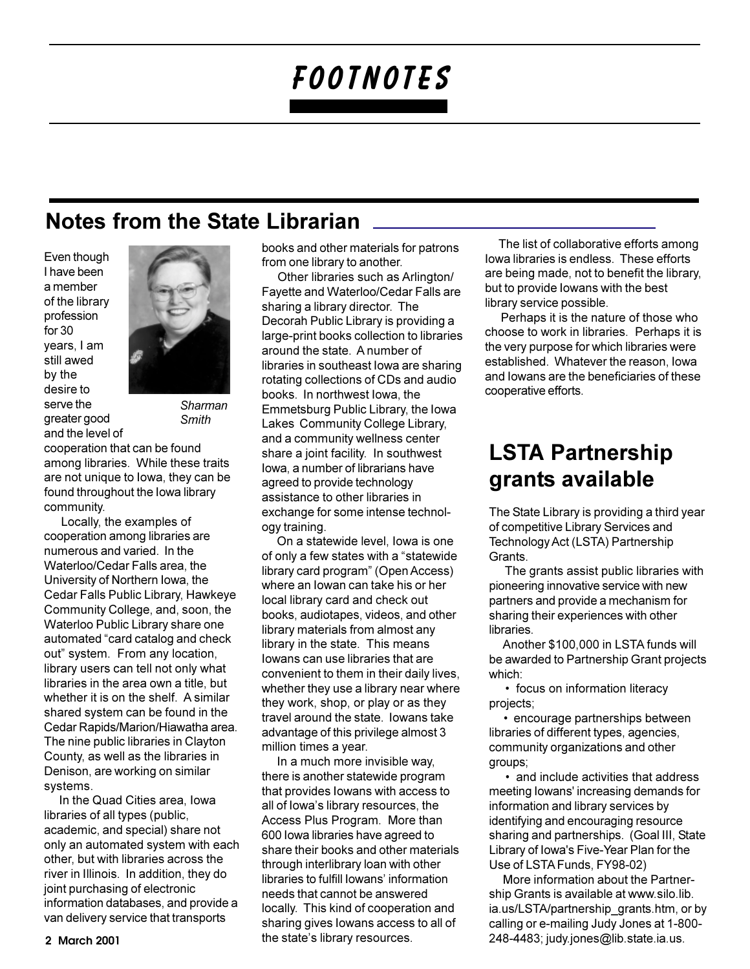### **Notes from the State Librarian**

Even though I have been a member of the library profession for 30 vears. I am still awed by the desire to serve the greater good and the level of



Sharman **Smith** 

cooperation that can be found among libraries. While these traits are not unique to lowa, they can be found throughout the lowa library community.

Locally, the examples of cooperation among libraries are numerous and varied. In the Waterloo/Cedar Falls area, the University of Northern Iowa, the Cedar Falls Public Library, Hawkeye Community College, and, soon, the Waterloo Public Library share one automated "card catalog and check out" system. From any location, library users can tell not only what libraries in the area own a title, but whether it is on the shelf. A similar shared system can be found in the Cedar Rapids/Marion/Hiawatha area. The nine public libraries in Clayton County, as well as the libraries in Denison, are working on similar systems.

In the Quad Cities area, Iowa libraries of all types (public, academic, and special) share not only an automated system with each other, but with libraries across the river in Illinois. In addition, they do joint purchasing of electronic information databases, and provide a van delivery service that transports

books and other materials for patrons from one library to another.

Other libraries such as Arlington/ Fayette and Waterloo/Cedar Falls are sharing a library director. The Decorah Public Library is providing a large-print books collection to libraries around the state. A number of libraries in southeast lowa are sharing rotating collections of CDs and audio books. In northwest lowa, the Emmetsburg Public Library, the lowa Lakes Community College Library, and a community wellness center share a joint facility. In southwest lowa, a number of librarians have agreed to provide technology assistance to other libraries in exchange for some intense technology training.

On a statewide level, lowa is one of only a few states with a "statewide" library card program" (Open Access) where an lowan can take his or her local library card and check out books, audiotapes, videos, and other library materials from almost any library in the state. This means lowans can use libraries that are convenient to them in their daily lives, whether they use a library near where they work, shop, or play or as they travel around the state. Iowans take advantage of this privilege almost 3 million times a year.

In a much more invisible way, there is another statewide program that provides lowans with access to all of lowa's library resources, the Access Plus Program. More than 600 lowa libraries have agreed to share their books and other materials through interlibrary loan with other libraries to fulfill lowans' information needs that cannot be answered locally. This kind of cooperation and sharing gives lowans access to all of the state's library resources.

The list of collaborative efforts among Iowa libraries is endless. These efforts are being made, not to benefit the library, but to provide lowans with the best library service possible.

Perhaps it is the nature of those who choose to work in libraries. Perhaps it is the very purpose for which libraries were established. Whatever the reason, lowa and lowans are the beneficiaries of these cooperative efforts.

### **LSTA Partnership** grants available

The State Library is providing a third year of competitive Library Services and Technology Act (LSTA) Partnership Grants.

The grants assist public libraries with pioneering innovative service with new partners and provide a mechanism for sharing their experiences with other libraries.

Another \$100,000 in LSTA funds will be awarded to Partnership Grant projects which:

• focus on information literacy projects;

• encourage partnerships between libraries of different types, agencies, community organizations and other groups;

• and include activities that address meeting lowans' increasing demands for information and library services by identifying and encouraging resource sharing and partnerships. (Goal III, State Library of Iowa's Five-Year Plan for the Use of LSTA Funds, FY98-02)

More information about the Partnership Grants is available at www.silo.lib. ia.us/LSTA/partnership\_grants.htm, or by calling or e-mailing Judy Jones at 1-800-248-4483; judy.jones@lib.state.ia.us.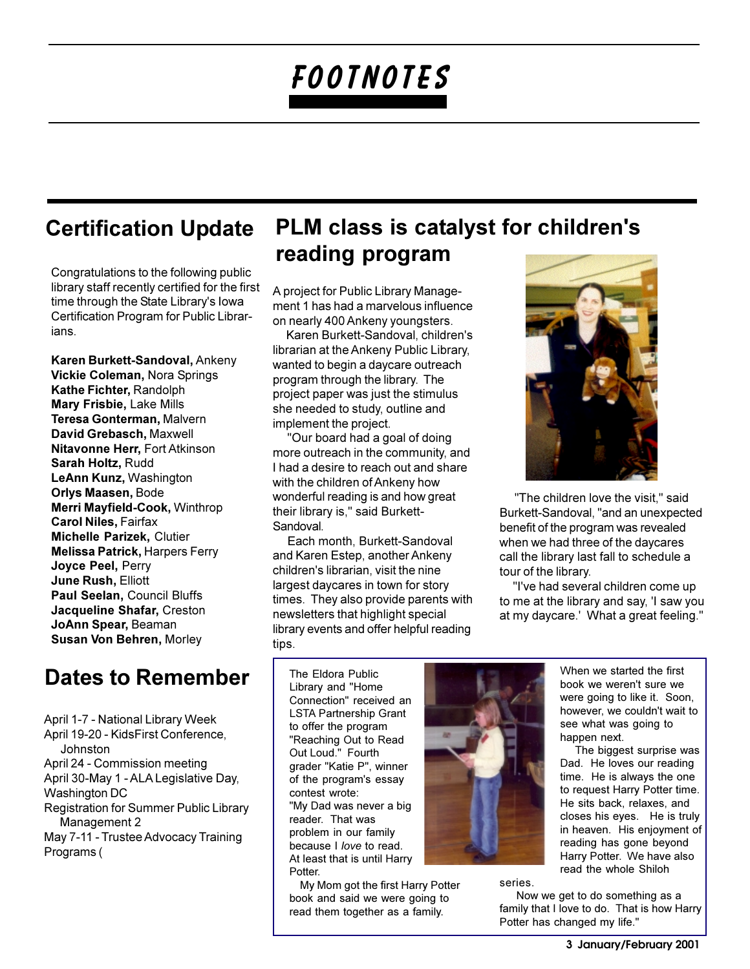### **Certification Update**

Congratulations to the following public library staff recently certified for the first time through the State Library's lowa Certification Program for Public Librarians.

Karen Burkett-Sandoval, Ankeny Vickie Coleman, Nora Springs Kathe Fichter, Randolph **Mary Frisbie, Lake Mills** Teresa Gonterman, Malvern David Grebasch, Maxwell **Nitavonne Herr, Fort Atkinson** Sarah Holtz, Rudd LeAnn Kunz, Washington **Orlys Maasen, Bode** Merri Mayfield-Cook, Winthrop **Carol Niles, Fairfax** Michelle Parizek, Clutier **Melissa Patrick, Harpers Ferry** Joyce Peel, Perry **June Rush, Elliott** Paul Seelan, Council Bluffs Jacqueline Shafar, Creston JoAnn Spear, Beaman Susan Von Behren, Morley

### Dates to Remember

April 1-7 - National Library Week April 19-20 - KidsFirst Conference, Johnston April 24 - Commission meeting April 30-May 1 - ALA Legislative Day, Washington DC Registration for Summer Public Library Management 2 May 7-11 - Trustee Advocacy Training Programs (

### PLM class is catalyst for children's reading program

A project for Public Library Management 1 has had a marvelous influence on nearly 400 Ankeny youngsters.

Karen Burkett-Sandoval, children's librarian at the Ankeny Public Library, wanted to begin a daycare outreach program through the library. The project paper was just the stimulus she needed to study, outline and implement the project.

"Our board had a goal of doing more outreach in the community, and I had a desire to reach out and share with the children of Ankeny how wonderful reading is and how great their library is," said Burkett-Sandoval.

Each month, Burkett-Sandoval and Karen Estep, another Ankeny children's librarian, visit the nine largest daycares in town for story times. They also provide parents with newsletters that highlight special library events and offer helpful reading tips.



"The children love the visit," said Burkett-Sandoval, "and an unexpected benefit of the program was revealed when we had three of the daycares call the library last fall to schedule a tour of the library.

"I've had several children come up to me at the library and say, 'I saw you at my daycare.' What a great feeling."

The Eldora Public Library and "Home Connection" received an **LSTA Partnership Grant** to offer the program "Reaching Out to Read Out Loud." Fourth grader "Katie P", winner of the program's essay contest wrote: "My Dad was never a big reader. That was problem in our family because I love to read. At least that is until Harry Potter

My Mom got the first Harry Potter book and said we were going to read them together as a family.



series.

When we started the first book we weren't sure we were going to like it. Soon, however, we couldn't wait to see what was going to happen next.

The biggest surprise was Dad. He loves our reading time. He is always the one to request Harry Potter time. He sits back, relaxes, and closes his eyes. He is truly in heaven. His enjoyment of reading has gone beyond Harry Potter. We have also read the whole Shiloh

Now we get to do something as a family that I love to do. That is how Harry Potter has changed my life."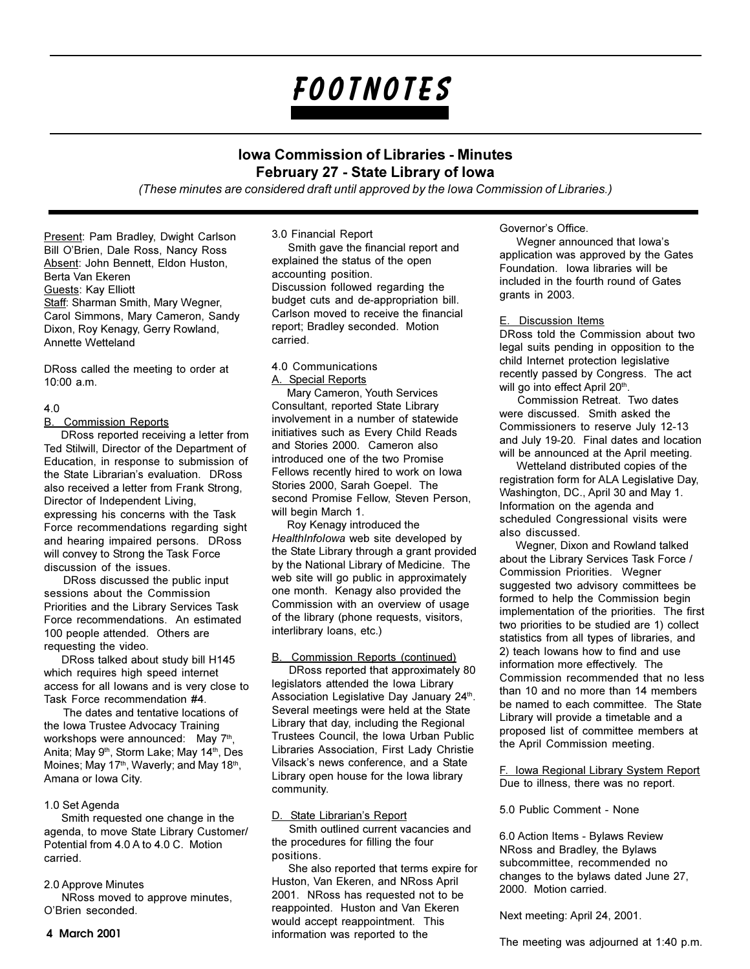#### **Iowa Commission of Libraries - Minutes** February 27 - State Library of Iowa

(These minutes are considered draft until approved by the lowa Commission of Libraries.)

Present: Pam Bradley, Dwight Carlson Bill O'Brien, Dale Ross, Nancy Ross Absent: John Bennett, Eldon Huston, Berta Van Ekeren Guests: Kay Elliott Staff: Sharman Smith, Mary Wegner, Carol Simmons, Mary Cameron, Sandy Dixon, Roy Kenagy, Gerry Rowland, Annette Wetteland

DRoss called the meeting to order at 10:00 a.m.

#### $40$

#### **B.** Commission Reports

DRoss reported receiving a letter from Ted Stilwill, Director of the Department of Education, in response to submission of the State Librarian's evaluation. DRoss also received a letter from Frank Strong. Director of Independent Living. expressing his concerns with the Task Force recommendations regarding sight and hearing impaired persons. DRoss will convey to Strong the Task Force discussion of the issues.

DRoss discussed the public input sessions about the Commission Priorities and the Library Services Task Force recommendations. An estimated 100 people attended. Others are requesting the video.

DRoss talked about study bill H145 which requires high speed internet access for all lowans and is very close to Task Force recommendation #4.

The dates and tentative locations of the Iowa Trustee Advocacy Training workshops were announced: May 7th, Anita; May 9<sup>th</sup>, Storm Lake; May 14<sup>th</sup>, Des Moines; May 17th, Waverly; and May 18th, Amana or Iowa City.

#### 1.0 Set Agenda

Smith requested one change in the agenda, to move State Library Customer/ Potential from 4.0 A to 4.0 C. Motion carried

#### 2.0 Approve Minutes

NRoss moved to approve minutes. O'Brien seconded.

#### 3.0 Financial Report

Smith gave the financial report and explained the status of the open accounting position. Discussion followed regarding the budget cuts and de-appropriation bill. Carlson moved to receive the financial report: Bradley seconded. Motion carried.

#### 4.0 Communications A. Special Reports

Mary Cameron, Youth Services Consultant, reported State Library involvement in a number of statewide initiatives such as Every Child Reads and Stories 2000. Cameron also introduced one of the two Promise Fellows recently hired to work on lowa Stories 2000, Sarah Goepel. The second Promise Fellow, Steven Person, will begin March 1.

Roy Kenagy introduced the HealthInfolowa web site developed by the State Library through a grant provided by the National Library of Medicine. The web site will go public in approximately one month. Kenagy also provided the Commission with an overview of usage of the library (phone requests, visitors, interlibrary loans, etc.)

#### **B.** Commission Reports (continued)

DRoss reported that approximately 80 legislators attended the lowa Library Association Legislative Day January 24th. Several meetings were held at the State Library that day, including the Regional Trustees Council, the Iowa Urban Public Libraries Association. First Lady Christie Vilsack's news conference, and a State Library open house for the lowa library community.

#### D. State Librarian's Report

Smith outlined current vacancies and the procedures for filling the four positions.

She also reported that terms expire for Huston, Van Ekeren, and NRoss April 2001. NRoss has requested not to be reappointed. Huston and Van Ekeren would accept reappointment. This information was reported to the

#### Governor's Office.

Wegner announced that lowa's application was approved by the Gates Foundation. Iowa libraries will be included in the fourth round of Gates grants in 2003.

#### E. Discussion Items

DRoss told the Commission about two legal suits pending in opposition to the child Internet protection legislative recently passed by Congress. The act will go into effect April 20th.

Commission Retreat. Two dates were discussed. Smith asked the Commissioners to reserve July 12-13 and July 19-20. Final dates and location will be announced at the April meeting.

Wetteland distributed copies of the registration form for ALA Legislative Day, Washington, DC., April 30 and May 1. Information on the agenda and scheduled Congressional visits were heaaunaih oale

Wegner, Dixon and Rowland talked about the Library Services Task Force / Commission Priorities. Wegner suggested two advisory committees be formed to help the Commission begin implementation of the priorities. The first two priorities to be studied are 1) collect statistics from all types of libraries, and 2) teach lowans how to find and use information more effectively. The Commission recommended that no less than 10 and no more than 14 members be named to each committee. The State Library will provide a timetable and a proposed list of committee members at the April Commission meeting.

F. Iowa Regional Library System Report Due to illness, there was no report.

5.0 Public Comment - None

6.0 Action Items - Bylaws Review NRoss and Bradley, the Bylaws subcommittee, recommended no changes to the bylaws dated June 27, 2000. Motion carried.

Next meeting: April 24, 2001.

The meeting was adjourned at 1:40 p.m.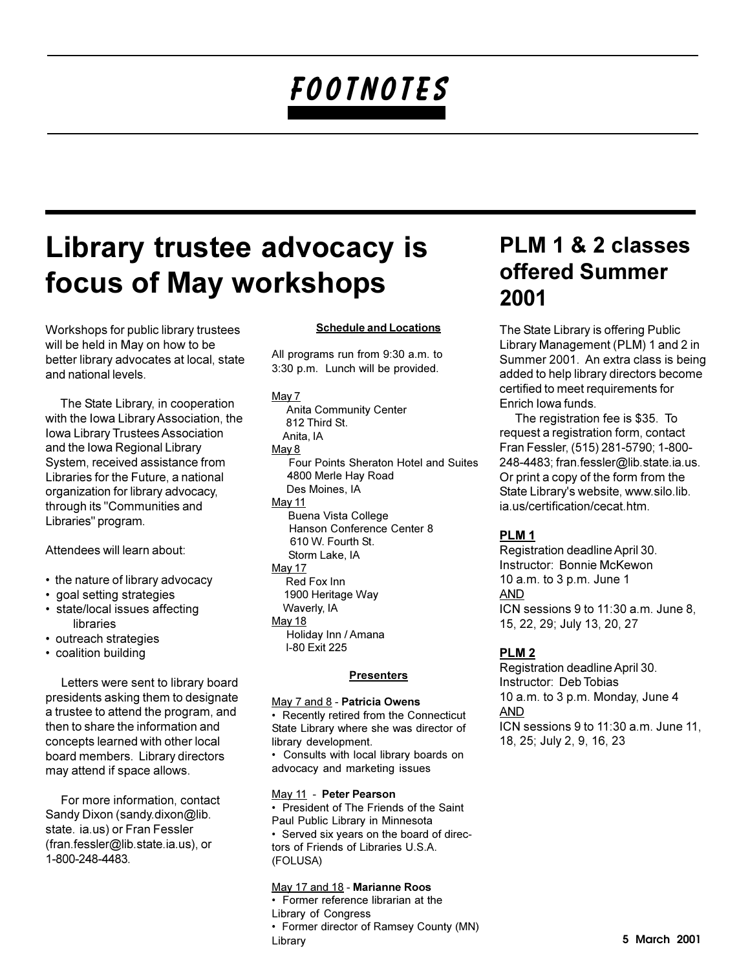### Library trustee advocacy is focus of May workshops

Workshops for public library trustees will be held in May on how to be better library advocates at local, state and national levels.

The State Library, in cooperation with the Iowa Library Association, the Iowa Library Trustees Association and the Iowa Regional Library System, received assistance from Libraries for the Future, a national organization for library advocacy, through its "Communities and Libraries" program.

Attendees will learn about:

- the nature of library advocacy
- · goal setting strategies
- state/local issues affecting libraries
- outreach strategies
- coalition building

Letters were sent to library board presidents asking them to designate a trustee to attend the program, and then to share the information and concepts learned with other local board members. Library directors may attend if space allows.

For more information, contact Sandy Dixon (sandy.dixon@lib. state. ia.us) or Fran Fessler (fran.fessler@lib.state.ia.us), or 1-800-248-4483.

#### **Schedule and Locations**

All programs run from 9:30 a.m. to 3:30 p.m. Lunch will be provided.

#### May 7

**Anita Community Center** 812 Third St. Anita, IA May 8 Four Points Sheraton Hotel and Suites 4800 Merle Hav Road Des Moines, IA May 11 Buena Vista College Hanson Conference Center 8 610 W. Fourth St. Storm Lake, IA May 17 Red Fox Inn 1900 Heritage Way Waverly, IA May 18 Holiday Inn / Amana I-80 Fxit 225

#### **Presenters**

#### May 7 and 8 - Patricia Owens • Recently retired from the Connecticut State Library where she was director of library development.

• Consults with local library boards on advocacy and marketing issues

May 11 - Peter Pearson • President of The Friends of the Saint Paul Public Library in Minnesota • Served six years on the board of directors of Friends of Libraries U.S.A. (FOLUSA)

#### May 17 and 18 - Marianne Roos

• Former reference librarian at the Library of Congress • Former director of Ramsey County (MN) Library

### PLM 1 & 2 classes offered Summer 2001

The State Library is offering Public Library Management (PLM) 1 and 2 in Summer 2001. An extra class is being added to help library directors become certified to meet requirements for Enrich Iowa funds.

The registration fee is \$35. To request a registration form, contact Fran Fessler, (515) 281-5790; 1-800-248-4483; fran.fessler@lib.state.ia.us. Or print a copy of the form from the State Library's website, www.silo.lib. ia.us/certification/cecat.htm.

#### PLM<sub>1</sub>

Registration deadline April 30. Instructor: Bonnie McKewon 10 a.m. to 3 p.m. June 1 **AND** ICN sessions 9 to 11:30 a.m. June 8. 15, 22, 29; July 13, 20, 27

#### PLM<sub>2</sub>

Registration deadline April 30. Instructor: Deb Tobias 10 a.m. to 3 p.m. Monday, June 4 **AND** ICN sessions 9 to 11:30 a.m. June 11, 18, 25; July 2, 9, 16, 23